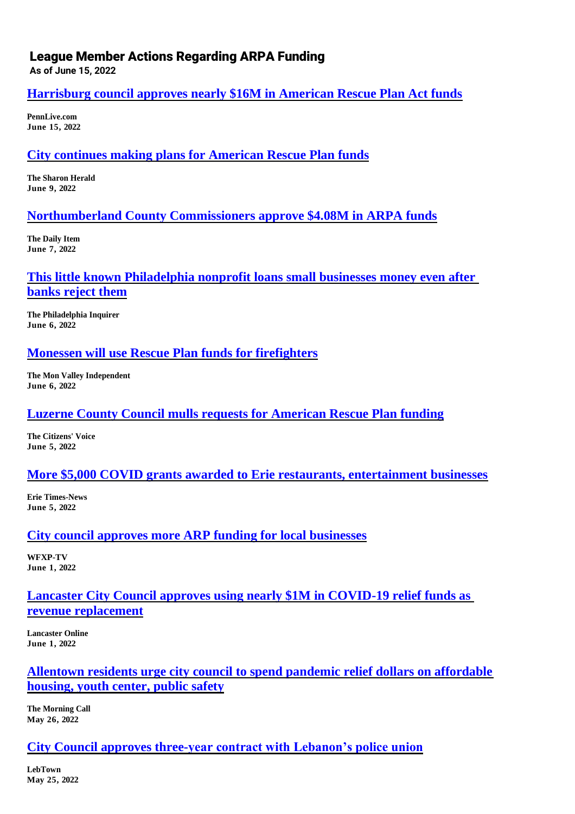## League Member Actions Regarding ARPA Funding

**As of June 15, 2022**

## **[Harrisburg council approves nearly \\$16M in American Rescue Plan Act funds](https://www.pennlive.com/news/2022/06/harrisburg-council-approves-nearly-16m-in-american-rescue-plan-act-funds.html)**

**PennLive.com June 15, 2022**

## **[City continues making plans for American Rescue Plan funds](https://www.sharonherald.com/news/city-continues-making-plans-for-american-rescue-plan-funds/article_5bc1a3ec-e736-11ec-a948-6b0ef92bd9bd.html)**

**The Sharon Herald June 9, 2022**

## **[Northumberland County Commissioners approve \\$4.08M in ARPA funds](https://www.dailyitem.com/news/northumberland-county-commissioners-approve-4-08m-in-arpa-funds/article_c9e5b3a0-e690-11ec-a7f8-cbd5ef5aafd3.html)**

**The Daily Item June 7, 2022**

## **[This little known Philadelphia nonprofit loans small businesses money even after](https://www.inquirer.com/business/small-business/small-business-philly-loans-banks-financing-20220606.html)  [banks reject them](https://www.inquirer.com/business/small-business/small-business-philly-loans-banks-financing-20220606.html)**

**The Philadelphia Inquirer June 6, 2022**

#### **[Monessen will use Rescue Plan funds for firefighters](https://monvalleyindependent.com/2022/06/monessen-will-use-rescue-plan-funds-for-firefighters/)**

**The Mon Valley Independent June 6, 2022**

## **[Luzerne County Council mulls requests for American Rescue Plan funding](https://www.citizensvoice.com/news/coronavirus/luzerne-county-council-mulls-requests-for-american-rescue-plan-funding/article_be756940-8bc6-5dae-a0be-46c9d7ea4813.html)**

**The Citizens' Voice June 5, 2022**

## **[More \\$5,000 COVID grants awarded to Erie restaurants, entertainment businesses](https://www.goerie.com/story/news/local/2022/06/05/more-erie-businesses-approved-for-5000-arp-grants-heres-the-list-restaurants-entertainment/65357705007/)**

**Erie Times-News June 5, 2022**

## **[City council approves more ARP funding for local businesses](https://www.yourerie.com/news/pennsylvania-news/erie-county/city-council-approves-more-arp-funding-for-local-businesses/)**

**WFXP-TV June 1, 2022**

## **[Lancaster City Council approves using nearly \\$1M in COVID-19 relief funds as](https://lancasteronline.com/news/regional/lancaster-city-council-approves-using-nearly-1m-in-covid-19-relief-funds-as-revenue-replacement/article_8f15b60a-de14-11ec-ae48-6b5220229cf7.html)  [revenue replacement](https://lancasteronline.com/news/regional/lancaster-city-council-approves-using-nearly-1m-in-covid-19-relief-funds-as-revenue-replacement/article_8f15b60a-de14-11ec-ae48-6b5220229cf7.html)**

**Lancaster Online June 1, 2022**

# **[Allentown residents urge city council to spend pandemic relief dollars on affordable](https://www.mcall.com/news/local/allentown/mc-nws-allentown-arpa-meeting-pandemic-recovery-20220526-yoknlbxbfvcy7bkn3cmdovigbe-story.html)  [housing, youth center, public safety](https://www.mcall.com/news/local/allentown/mc-nws-allentown-arpa-meeting-pandemic-recovery-20220526-yoknlbxbfvcy7bkn3cmdovigbe-story.html)**

**The Morning Call May 26, 2022**

## **[City Council approves three-year contract with Lebanon's police union](https://lebtown.com/2022/05/25/city-council-approves-three-year-contract-with-lebanons-police-union/)**

**LebTown May 25, 2022**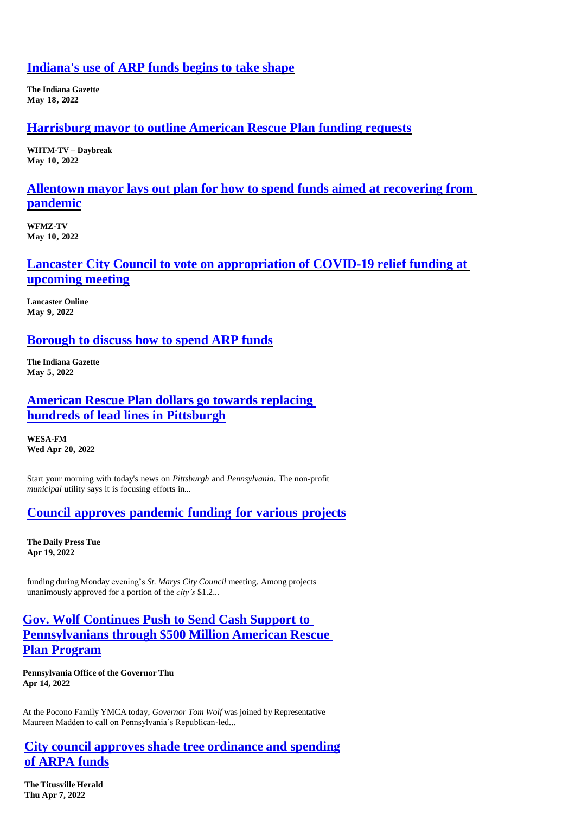#### **[Indiana's use of ARP funds begins to take shape](https://www.indianagazette.com/news/local/indianas-use-of-arp-funds-begins-to-take-shape/article_cb36ce7f-3e64-5fad-9f66-d999c934e003.html)**

**The Indiana Gazette May 18, 2022**

#### **[Harrisburg mayor to outline American Rescue Plan funding requests](https://www.abc27.com/news/local/harrisburg/harrisburg-mayor-to-outline-american-rescue-plan-funding-requests/)**

**WHTM-TV – Daybreak May 10, 2022**

#### **[Allentown mayor lays out plan for how to spend funds aimed at recovering from](https://www.wfmz.com/news/area/lehighvalley/allentown-mayor-lays-out-plan-for-how-to-spend-funds-aimed-at-recovering-from-pandemic/article_7a58c362-d093-11ec-a4e9-db69ada9d3a9.html)  [pandemic](https://www.wfmz.com/news/area/lehighvalley/allentown-mayor-lays-out-plan-for-how-to-spend-funds-aimed-at-recovering-from-pandemic/article_7a58c362-d093-11ec-a4e9-db69ada9d3a9.html)**

**WFMZ-TV May 10, 2022**

#### **[Lancaster City Council to vote on appropriation of COVID-19 relief funding at](https://lancasteronline.com/news/regional/lancaster-city-council-to-vote-on-appropriation-of-covid-19-relief-funding-at-upcoming-meeting/article_9cbc2832-cca5-11ec-a932-7bede1b45ccc.html)  [upcoming meeting](https://lancasteronline.com/news/regional/lancaster-city-council-to-vote-on-appropriation-of-covid-19-relief-funding-at-upcoming-meeting/article_9cbc2832-cca5-11ec-a932-7bede1b45ccc.html)**

**Lancaster Online May 9, 2022**

#### **[Borough to discuss how to spend ARP funds](file:///C:/Users/hhugendubler/Desktop/Borough%20to%20discuss%20how%20to%20spend%20ARP%20funds)**

**The Indiana Gazette May 5, 2022**

## **[American](https://www.wesa.fm/development-transportation/2022-04-20/american-rescue-plan-dollars-go-towards-replacing-hundreds-of-lead-lines-in-pittsburgh) Rescue Plan dollars go towards replacing [hundreds of lead lines in Pittsburgh](https://www.wesa.fm/development-transportation/2022-04-20/american-rescue-plan-dollars-go-towards-replacing-hundreds-of-lead-lines-in-pittsburgh)**

**WESA-FM Wed Apr 20, 2022**

Start your morning with today's news on *Pittsburgh* and *Pennsylvania*. The non-profit *municipal* utility says it is focusing efforts in...

## **Council approves [pandemic](https://www.smdailypress.com/news/council-approves-pandemic-funding-for-various-projects/article_571a1a5e-bf81-11ec-bcda-732a8a38df00.html) funding for various projects**

**The Daily Press Tue Apr 19, 2022**

funding during Monday evening's *St. Marys City Council* meeting. Among projects unanimously approved for a portion of the *city's* \$1.2...

## **Gov. Wolf Continues Push to Send Cash Support to Pennsylvanians through \$500 Million American Rescue Plan Program**

**Pennsylvania Office of the Governor Thu Apr 14, 2022**

At the Pocono Family YMCA today, *Governor Tom Wolf* was joined by Representative Maureen Madden to call on Pennsylvania's Republican-led...

## **City council approves shade tree ordinance and spending of ARPA funds**

**The Titusville Herald Th[u Apr 7, 2022](https://www.timesleader.com/news/1550012/luzerne-county-council-voting-on-american-rescue-allocation)**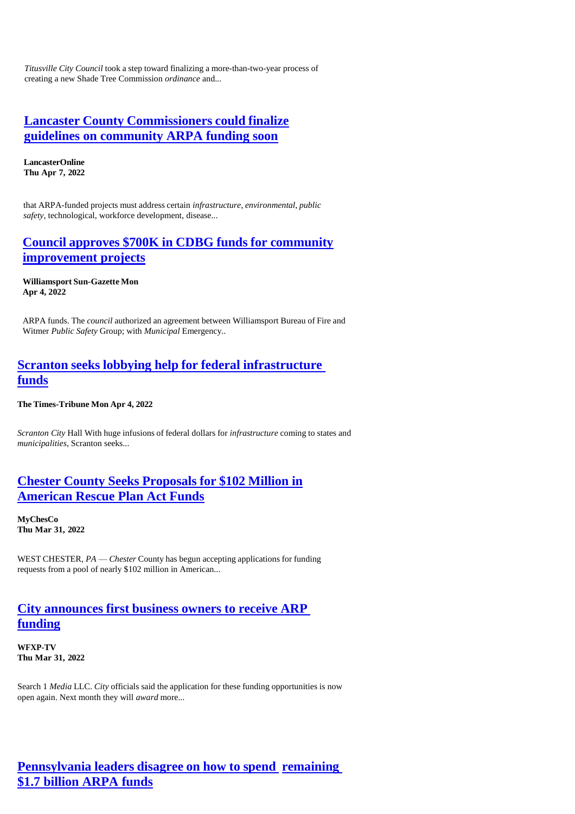*Titusville City Council* took a step toward finalizing a more-than-two-year process of creating a new Shade Tree Commission *ordinance* and...

### **Lancaster County Commissioners could finalize guidelines on community ARPA funding soon**

**LancasterOnline Thu Apr 7, 2022**

that ARPA-funded projects must address certain *infrastructure*, *environmental*, *public safety*, technological, workforce development, disease...

## **Council approves \$700K in CDBG funds for community improvement projects**

**[Williamsport](https://www.sungazette.com/news/top-news/2022/04/council-approves-700k-in-cdbg-funds-for-community-improvement-projects/) Sun-Gazette Mon [Apr 4, 2022](https://www.sungazette.com/news/top-news/2022/04/council-approves-700k-in-cdbg-funds-for-community-improvement-projects/)**

ARPA funds. The *council* authorized an agreement between Williamsport Bureau of Fire and Witmer *Public Safety* Group; with *Municipal* Emergency..

## **Scranton seeks lobbying help for federal infrastructure funds**

**The Times-Tribune Mon Apr 4, 2022**

*Scranton City* Hall With huge infusions of federal dollars for *infrastructure* coming to states and *municipalities*, Scranton seeks...

#### **Chester County Seeks Proposals for \$102 Million in American Rescue Plan Act Funds**

**[MyChesCo](https://www.thetimes-tribune.com/news/scranton-seeks-lobbying-help-for-federal-infrastructure-funds/article_bc627837-042c-59f0-b216-e7d781997756.html) Thu Mar 31, [2022](https://www.thetimes-tribune.com/news/scranton-seeks-lobbying-help-for-federal-infrastructure-funds/article_bc627837-042c-59f0-b216-e7d781997756.html)**

WEST CHESTER, *PA* — *Chester* County has begun accepting applications for funding requests from a pool of nearly \$102 million in American...

## **City [announces](https://www.yourerie.com/news/local-news/city-announces-first-business-owners-to-receive-arp-funding/) first business owners to receive ARP [funding](https://www.yourerie.com/news/local-news/city-announces-first-business-owners-to-receive-arp-funding/)**

**WFXP-TV Thu Mar 31, 2022**

Search 1 *Media* LLC. *City* officials said the application for these funding opportunities is now open again. Next month they will *award* more...

## **[Pennsylvania](https://www.tiogapublishing.com/news/state/pennsylvania-leaders-disagree-on-how-to-spend-remaining-1-7-billion-arpa-funds/article_86338c53-1ae2-5844-bbe8-d36f236f35fd.html) leaders disagree on how to spend [remaining](https://www.tiogapublishing.com/news/state/pennsylvania-leaders-disagree-on-how-to-spend-remaining-1-7-billion-arpa-funds/article_86338c53-1ae2-5844-bbe8-d36f236f35fd.html) [\\$1.7 billion ARPA](https://www.tiogapublishing.com/news/state/pennsylvania-leaders-disagree-on-how-to-spend-remaining-1-7-billion-arpa-funds/article_86338c53-1ae2-5844-bbe8-d36f236f35fd.html) funds**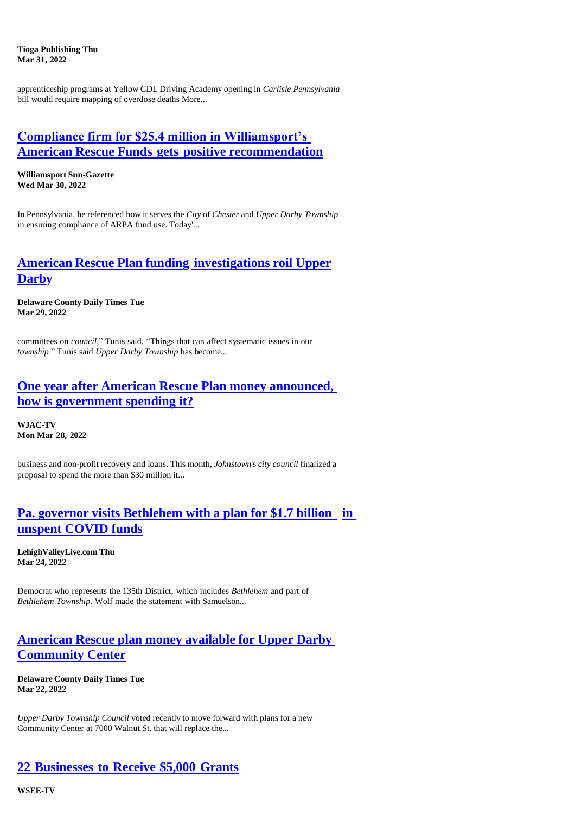**Tioga Publishing Thu Mar 31, 2022**

apprenticeship programs at Yellow CDL Driving Academy opening in *Carlisle Pennsylvania*  bill would require mapping of overdose deaths More...

## **[Compliance firm for \\$25.4 million in Williamsport's](https://www.sungazette.com/uncategorized/2022/03/compliance-firm-for-25-4-million-in-williamsports-american-rescue-funds-gets-positive-recommendation/)  American Rescue Funds gets positive [recommendation](https://www.sungazette.com/uncategorized/2022/03/compliance-firm-for-25-4-million-in-williamsports-american-rescue-funds-gets-positive-recommendation/)**

**Williamsport Sun-Gazette Wed Mar 30, 2022**

In Pennsylvania, he referenced how it serves the *City* of *Chester* and *Upper Darby Township*  in ensuring compliance of ARPA fund use. Today'...

## **American Rescue Plan funding [investigations](https://www.delcotimes.com/2022/03/29/american-rescue-plan-funding-investigations-roil-upper-darby/) roil Upper [Darby](https://www.delcotimes.com/2022/03/29/american-rescue-plan-funding-investigations-roil-upper-darby/)**

**Delaware County Daily Times Tue Mar 29, 2022**

committees on *council*," Tunis said. "Things that can affect systematic issues in our *township*." Tunis said *Upper Darby Township* has become...

#### **One year after American Rescue Plan money [announced,](https://wjactv.com/news/local/one-year-after-american-rescue-plan-money-announced-how-is-government-spending-it) [how is government spending it?](https://wjactv.com/news/local/one-year-after-american-rescue-plan-money-announced-how-is-government-spending-it)**

**WJAC-TV Mon Mar 28, 2022**

business and non-profit recovery and loans. This month, *Johnstown*'s *city council* finalized a proposal to spend the more than \$30 million it...

## **Pa. governor visits [Bethlehem](https://www.lehighvalleylive.com/news/2022/03/pa-governor-visits-bethlehem-with-a-plan-for-17-billion-in-unspent-covid-funds.html) with a plan for \$1.7 billion [in](https://www.lehighvalleylive.com/news/2022/03/pa-governor-visits-bethlehem-with-a-plan-for-17-billion-in-unspent-covid-funds.html)  [unspent COVID funds](https://www.lehighvalleylive.com/news/2022/03/pa-governor-visits-bethlehem-with-a-plan-for-17-billion-in-unspent-covid-funds.html)**

**LehighValleyLive.com Thu Mar 24, 2022**

Democrat who represents the 135th District, which includes *Bethlehem* and part of *Bethlehem Township*. Wolf made the statement with Samuelson...

## **[American](https://www.delcotimes.com/2022/03/22/american-rescue-plan-money-available-for-upper-darby-community-center/) Rescue plan money available for Upper Darby [Community Center](https://www.delcotimes.com/2022/03/22/american-rescue-plan-money-available-for-upper-darby-community-center/)**

**Delaware County Daily Times Tue Mar 22, 2022**

*Upper Darby Township Council* voted recently to move forward with plans for a new Community Center at 7000 Walnut St. that will replace the...

# **22 [Businesses](https://www.erienewsnow.com/story/46113537/22-businesses-to-receive-dollar5000-grants) to Receive \$5,000 Grants**

**WSEE-TV**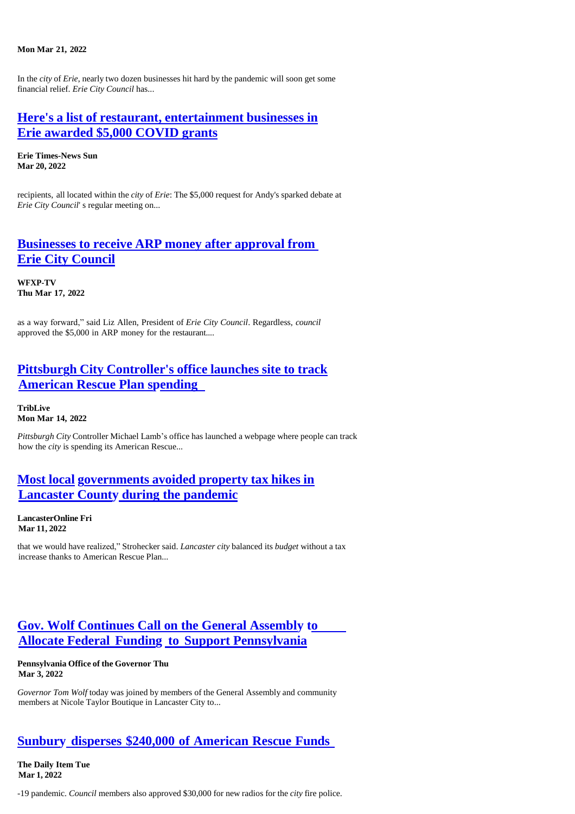#### **Mon Mar 21, 2022**

In the *city* of *Erie*, nearly two dozen businesses hit hard by the pandemic will soon get some financial relief. *Erie City Council* has...

#### **Here's a list of restaurant, [entertainment](https://www.goerie.com/story/news/local/2022/03/20/pandemic-relief-erie-pa-list-of-businesses-approved-for-5000-arp-grants/65345013007/) businesses in [Erie awarded \\$5,000 COVID grants](https://www.goerie.com/story/news/local/2022/03/20/pandemic-relief-erie-pa-list-of-businesses-approved-for-5000-arp-grants/65345013007/)**

**Erie Times-News Sun Mar 20, 2022**

recipients, all located within the *city* of *Erie*: The \$5,000 request for Andy's sparked debate at *Erie City Council*' s regular meeting on...

#### **[Businesses](https://www.yourerie.com/news/local-news/businesses-to-receive-arp-money-after-approval-from-erie-city-council/) to receive ARP money after approval from [Erie City Council](https://www.yourerie.com/news/local-news/businesses-to-receive-arp-money-after-approval-from-erie-city-council/)**

**WFXP-TV Thu Mar 17, 2022**

as a way forward," said Liz Allen, President of *Erie City Council*. Regardless, *council* approved the \$5,000 in ARP money for the restaurant....

## **Pittsburgh City [Controller's](https://triblive.com/local/pittsburgh-city-controllers-office-launches-site-to-track-american-rescue-plan-spending/) office launches site to track [American Rescue Plan spending](https://triblive.com/local/pittsburgh-city-controllers-office-launches-site-to-track-american-rescue-plan-spending/)**

**TribLive Mon Mar 14, 2022**

*Pittsburgh City* Controller Michael Lamb's office has launched a webpage where people can track how the *city* is spending its American Rescue...

## **Most local [governments](https://lancasteronline.com/news/local/most-local-governments-avoided-property-tax-hikes-in-lancaster-county-during-the-pandemic/article_034d4ed2-a0aa-11ec-9a55-0b7f9c97380f.html) avoided property tax hikes in Lancaster County [during the pandemic](https://lancasteronline.com/news/local/most-local-governments-avoided-property-tax-hikes-in-lancaster-county-during-the-pandemic/article_034d4ed2-a0aa-11ec-9a55-0b7f9c97380f.html)**

**LancasterOnline Fri Mar 11, 2022**

that we would have realized," Strohecker said. *Lancaster city* balanced its *budget* without a tax increase thanks to American Rescue Plan...

## **[Gov. Wolf Continues Call on the General Assembly to](https://www.governor.pa.gov/newsroom/gov-wolf-continues-call-on-the-general-assembly-to-allocate-federal-funding-to-support-pennsylvania/) Allocate Federal Funding to [Support Pennsylvania](https://www.governor.pa.gov/newsroom/gov-wolf-continues-call-on-the-general-assembly-to-allocate-federal-funding-to-support-pennsylvania/)**

#### **Pennsylvania Office of the Governor Thu Mar 3, 2022**

*Governor Tom Wolf* today was joined by members of the General Assembly and community members at Nicole Taylor Boutique in Lancaster City to...

#### **Sunbury disperses \$240,000 of [American](https://www.dailyitem.com/news/sunbury-disperses-240-000-of-american-rescue-funds/article_1e575180-9904-11ec-9d93-43319c36e9ae.html) Rescue Funds**

**The Daily Item Tue Mar 1, 2022**

-19 pandemic. *Council* members also approved \$30,000 for new radios for the *city* fire police.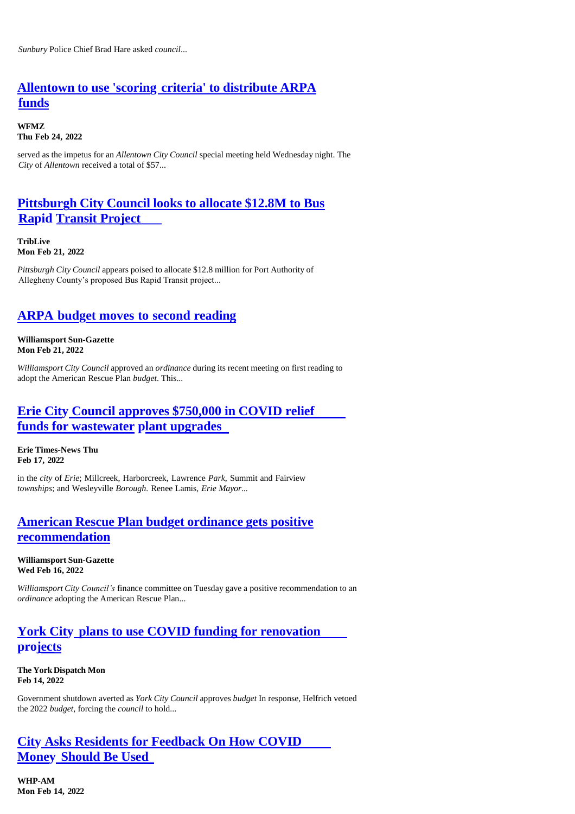## **[Allentown](https://www.wfmz.com/news/area/lehighvalley/allentown-to-use-scoring-criteria-to-distribute-arpa-funds/article_a16ea0f8-9519-11ec-b229-f34850495b07.html) to use 'scoring criteria' to distribute ARPA [funds](https://www.wfmz.com/news/area/lehighvalley/allentown-to-use-scoring-criteria-to-distribute-arpa-funds/article_a16ea0f8-9519-11ec-b229-f34850495b07.html)**

**WFMZ Thu Feb 24, 2022**

served as the impetus for an *Allentown City Council* special meeting held Wednesday night. The *City* of *Allentown* received a total of \$57...

## **[Pittsburgh](https://triblive.com/local/pittsburgh-city-council-looks-to-allocate-12-8m-to-bus-rapid-transit-project/) City Council looks to allocate \$12.8M to Bus [Rapid Transit Project](https://triblive.com/local/pittsburgh-city-council-looks-to-allocate-12-8m-to-bus-rapid-transit-project/)**

**TribLive Mon Feb 21, 2022**

*Pittsburgh City Council* appears poised to allocate \$12.8 million for Port Authority of Allegheny County's proposed Bus Rapid Transit project...

## **ARPA budget moves to second [reading](https://www.sungazette.com/news/top-news/2022/02/arpa-budget-moves-to-second-reading/)**

**Williamsport Sun-Gazette Mon Feb 21, 2022**

*Williamsport City Council* approved an *ordinance* during its recent meeting on first reading to adopt the American Rescue Plan *budget*. This...

## **Erie City [Council approves \\$750,000 in COVID relief](https://www.goerie.com/story/news/local/2022/02/17/covid-relief-money-fund-750-k-upgrades-erie-pa-wastewater-plant/6822269001/) [funds for wastewater](https://www.goerie.com/story/news/local/2022/02/17/covid-relief-money-fund-750-k-upgrades-erie-pa-wastewater-plant/6822269001/) plant upgrades**

**Erie Times-News Thu Feb 17, 2022**

in the *city* of *Erie*; Millcreek, Harborcreek, Lawrence *Park*, Summit and Fairview *townships*; and Wesleyville *Borough*. Renee Lamis, *Erie Mayor*...

#### **American Rescue Plan budget [ordinance](https://www.sungazette.com/news/top-news/2022/02/american-rescue-plan-budget-ordinance-gets-positive-recommendation/) gets positive [recommendation](https://www.sungazette.com/news/top-news/2022/02/american-rescue-plan-budget-ordinance-gets-positive-recommendation/)**

**Williamsport Sun-Gazette Wed Feb 16, 2022**

*Williamsport City Council's* finance committee on Tuesday gave a positive recommendation to an *ordinance* adopting the American Rescue Plan...

# **York City [plans to use COVID funding for renovation](https://www.yorkdispatch.com/story/news/local/2022/02/14/york-city-plans-use-covid-funding-renovation-projects/6784279001/) [projects](https://www.yorkdispatch.com/story/news/local/2022/02/14/york-city-plans-use-covid-funding-renovation-projects/6784279001/)**

**The York Dispatch Mon Feb 14, 2022**

Government shutdown averted as *York City Council* approves *budget* In response, Helfrich vetoed the 2022 *budget*, forcing the *council* to hold...

## **City [Asks Residents for Feedback On How COVID](https://whp580.iheart.com/content/2022-02-14-city-asks-residents-for-feedback-on-how-covid-money-should-be-used/) Money [Should Be Used](https://whp580.iheart.com/content/2022-02-14-city-asks-residents-for-feedback-on-how-covid-money-should-be-used/)**

**WHP-AM Mon Feb 14, 2022**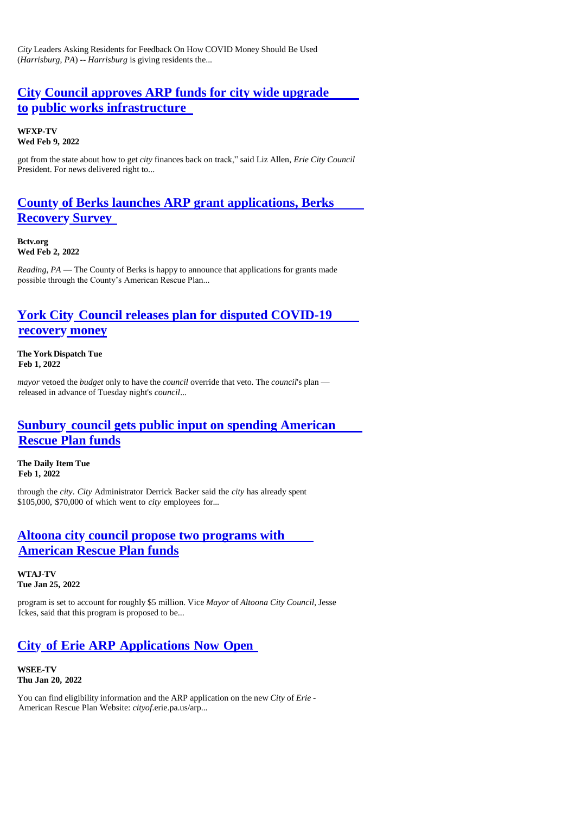*City* Leaders Asking Residents for Feedback On How COVID Money Should Be Used (*Harrisburg*, *PA*) -- *Harrisburg* is giving residents the...

## **City [Council approves ARP funds for city wide upgrade](https://www.yourerie.com/news/local-news/city-council-approves-arp-funds-for-city-wide-upgrade-to-public-works-infrastructure/) to [public works infrastructure](https://www.yourerie.com/news/local-news/city-council-approves-arp-funds-for-city-wide-upgrade-to-public-works-infrastructure/)**

**WFXP-TV Wed Feb 9, 2022**

got from the state about how to get *city* finances back on track," said Liz Allen, *Erie City Council*  President. For news delivered right to...

## **County [of Berks launches ARP grant applications, Berks](https://www.bctv.org/2022/02/02/county-of-berks-launches-arp-grant-applications-berks-recovery-survey/) [Recovery](https://www.bctv.org/2022/02/02/county-of-berks-launches-arp-grant-applications-berks-recovery-survey/) Survey**

**Bctv.org Wed Feb 2, 2022**

*Reading*, *PA* — The County of Berks is happy to announce that applications for grants made possible through the County's American Rescue Plan...

# **York City [Council releases plan for disputed COVID-19](https://www.yorkdispatch.com/story/news/local/2022/02/01/city-council-releases-plan-disputed-covid-19-recovery-money/9304186002/) [recovery](https://www.yorkdispatch.com/story/news/local/2022/02/01/city-council-releases-plan-disputed-covid-19-recovery-money/9304186002/) money**

**The York Dispatch Tue Feb 1, 2022**

*mayor* vetoed the *budget* only to have the *council* override that veto. The *council*'s plan released in advance of Tuesday night's *council*...

## **Sunbury [council gets public input on spending American](https://www.dailyitem.com/news/sunbury-council-gets-public-input-on-spending-american-rescue-plan-funds/article_7c6c55da-82f8-11ec-84e9-5f07c3fc9241.html) [Rescue Plan funds](https://www.dailyitem.com/news/sunbury-council-gets-public-input-on-spending-american-rescue-plan-funds/article_7c6c55da-82f8-11ec-84e9-5f07c3fc9241.html)**

**The Daily Item Tue Feb 1, 2022**

through the *city*. *City* Administrator Derrick Backer said the *city* has already spent \$105,000, \$70,000 of which went to *city* employees for...

#### **Altoona city [council propose two programs with](https://www.wearecentralpa.com/news/local-news/altoona-city-council-propose-two-programs-with-american-rescue-plan-funds/) [American Rescue Plan funds](https://www.wearecentralpa.com/news/local-news/altoona-city-council-propose-two-programs-with-american-rescue-plan-funds/)**

**WTAJ-TV Tue Jan 25, 2022**

program is set to account for roughly \$5 million. Vice *Mayor* of *Altoona City Council*, Jesse Ickes, said that this program is proposed to be...

# **City of Erie ARP [Applications](https://www.erienewsnow.com/story/45694131/city-of-erie-arp-applications-now-open) Now Open**

**WSEE-TV Thu Jan 20, 2022**

You can find eligibility information and the ARP application on the new *City* of *Erie* - American Rescue Plan Website: *cityof*.erie.pa.us/arp...